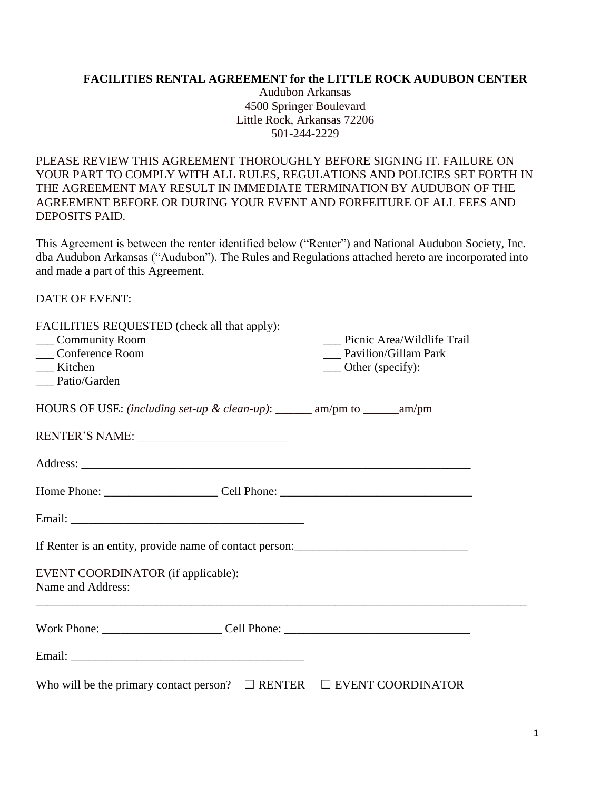#### **FACILITIES RENTAL AGREEMENT for the LITTLE ROCK AUDUBON CENTER**

Audubon Arkansas 4500 Springer Boulevard Little Rock, Arkansas 72206 501-244-2229

PLEASE REVIEW THIS AGREEMENT THOROUGHLY BEFORE SIGNING IT. FAILURE ON YOUR PART TO COMPLY WITH ALL RULES, REGULATIONS AND POLICIES SET FORTH IN THE AGREEMENT MAY RESULT IN IMMEDIATE TERMINATION BY AUDUBON OF THE AGREEMENT BEFORE OR DURING YOUR EVENT AND FORFEITURE OF ALL FEES AND DEPOSITS PAID.

This Agreement is between the renter identified below ("Renter") and National Audubon Society, Inc. dba Audubon Arkansas ("Audubon"). The Rules and Regulations attached hereto are incorporated into and made a part of this Agreement.

DATE OF EVENT:

| FACILITIES REQUESTED (check all that apply):<br>Community Room<br>__ Conference Room<br>__ Kitchen<br>__ Patio/Garden | Picnic Area/Wildlife Trail<br>Pavilion/Gillam Park<br>__ Other (specify): |
|-----------------------------------------------------------------------------------------------------------------------|---------------------------------------------------------------------------|
| HOURS OF USE: <i>(including set-up &amp; clean-up)</i> : ______ am/pm to _____ am/pm                                  |                                                                           |
| RENTER'S NAME:                                                                                                        |                                                                           |
|                                                                                                                       |                                                                           |
|                                                                                                                       |                                                                           |
|                                                                                                                       |                                                                           |
| If Renter is an entity, provide name of contact person:<br><u>Letter and the set of contact person:</u>               |                                                                           |
| EVENT COORDINATOR (if applicable):<br>Name and Address:                                                               |                                                                           |
|                                                                                                                       |                                                                           |
|                                                                                                                       |                                                                           |
| Who will be the primary contact person? $\Box$ RENTER $\Box$ EVENT COORDINATOR                                        |                                                                           |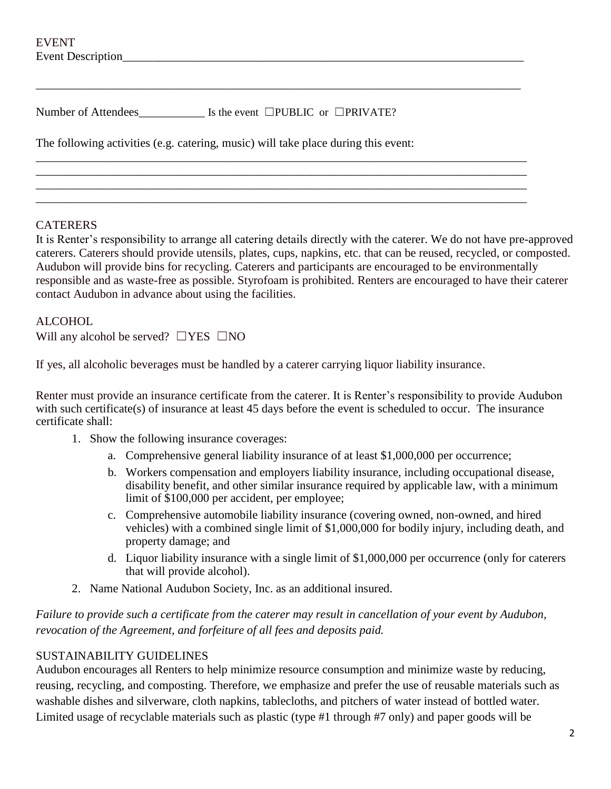| <b>EVENT</b>                                                                       |  |
|------------------------------------------------------------------------------------|--|
| Event Description                                                                  |  |
|                                                                                    |  |
|                                                                                    |  |
| Number of Attendees $\qquad \qquad$ Is the event $\Box$ PUBLIC or $\Box$ PRIVATE?  |  |
| The following activities (e.g. catering, music) will take place during this event: |  |
|                                                                                    |  |
|                                                                                    |  |

\_\_\_\_\_\_\_\_\_\_\_\_\_\_\_\_\_\_\_\_\_\_\_\_\_\_\_\_\_\_\_\_\_\_\_\_\_\_\_\_\_\_\_\_\_\_\_\_\_\_\_\_\_\_\_\_\_\_\_\_\_\_\_\_\_\_\_\_\_\_\_\_\_\_\_\_\_\_\_\_\_\_

## **CATERERS**

It is Renter's responsibility to arrange all catering details directly with the caterer. We do not have pre-approved caterers. Caterers should provide utensils, plates, cups, napkins, etc. that can be reused, recycled, or composted. Audubon will provide bins for recycling. Caterers and participants are encouraged to be environmentally responsible and as waste-free as possible. Styrofoam is prohibited. Renters are encouraged to have their caterer contact Audubon in advance about using the facilities.

## ALCOHOL

Will any alcohol be served?  $\square$  YES  $\square$  NO

If yes, all alcoholic beverages must be handled by a caterer carrying liquor liability insurance.

Renter must provide an insurance certificate from the caterer. It is Renter's responsibility to provide Audubon with such certificate(s) of insurance at least 45 days before the event is scheduled to occur. The insurance certificate shall:

- 1. Show the following insurance coverages:
	- a. Comprehensive general liability insurance of at least \$1,000,000 per occurrence;
	- b. Workers compensation and employers liability insurance, including occupational disease, disability benefit, and other similar insurance required by applicable law, with a minimum limit of \$100,000 per accident, per employee;
	- c. Comprehensive automobile liability insurance (covering owned, non-owned, and hired vehicles) with a combined single limit of \$1,000,000 for bodily injury, including death, and property damage; and
	- d. Liquor liability insurance with a single limit of \$1,000,000 per occurrence (only for caterers that will provide alcohol).
- 2. Name National Audubon Society, Inc. as an additional insured.

*Failure to provide such a certificate from the caterer may result in cancellation of your event by Audubon, revocation of the Agreement, and forfeiture of all fees and deposits paid.*

## SUSTAINABILITY GUIDELINES

Audubon encourages all Renters to help minimize resource consumption and minimize waste by reducing, reusing, recycling, and composting. Therefore, we emphasize and prefer the use of reusable materials such as washable dishes and silverware, cloth napkins, tablecloths, and pitchers of water instead of bottled water. Limited usage of recyclable materials such as plastic (type #1 through #7 only) and paper goods will be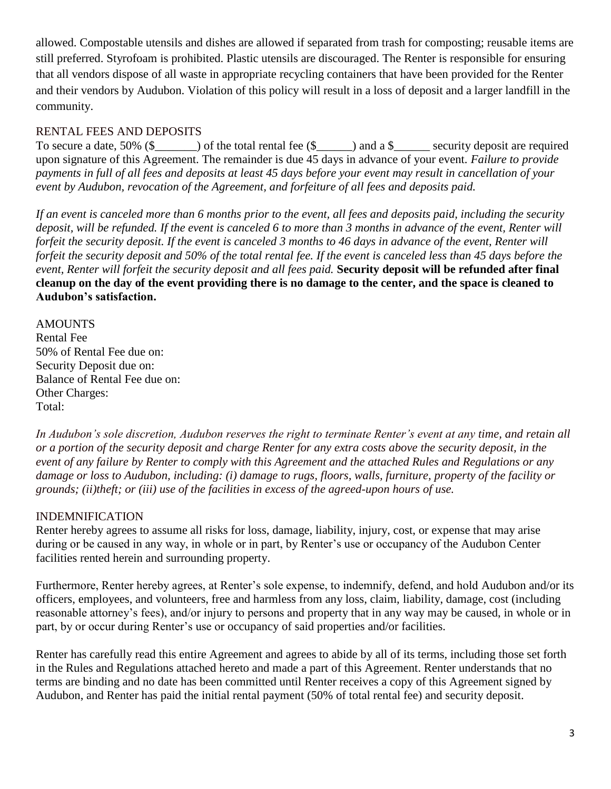allowed. Compostable utensils and dishes are allowed if separated from trash for composting; reusable items are still preferred. Styrofoam is prohibited. Plastic utensils are discouraged. The Renter is responsible for ensuring that all vendors dispose of all waste in appropriate recycling containers that have been provided for the Renter and their vendors by Audubon. Violation of this policy will result in a loss of deposit and a larger landfill in the community.

# RENTAL FEES AND DEPOSITS

To secure a date, 50% (\$\_\_\_\_\_\_) of the total rental fee (\$\_\_\_\_\_) and a \$\_\_\_\_\_\_ security deposit are required upon signature of this Agreement. The remainder is due 45 days in advance of your event. *Failure to provide payments in full of all fees and deposits at least 45 days before your event may result in cancellation of your event by Audubon, revocation of the Agreement, and forfeiture of all fees and deposits paid.*

*If an event is canceled more than 6 months prior to the event, all fees and deposits paid, including the security*  deposit, will be refunded. If the event is canceled 6 to more than 3 months in advance of the event, Renter will *forfeit the security deposit. If the event is canceled 3 months to 46 days in advance of the event, Renter will forfeit the security deposit and 50% of the total rental fee. If the event is canceled less than 45 days before the event, Renter will forfeit the security deposit and all fees paid.* **Security deposit will be refunded after final cleanup on the day of the event providing there is no damage to the center, and the space is cleaned to Audubon's satisfaction.**

#### AMOUNTS

Rental Fee 50% of Rental Fee due on: Security Deposit due on: Balance of Rental Fee due on: Other Charges: Total:

*In Audubon's sole discretion, Audubon reserves the right to terminate Renter's event at any time, and retain all or a portion of the security deposit and charge Renter for any extra costs above the security deposit, in the event of any failure by Renter to comply with this Agreement and the attached Rules and Regulations or any damage or loss to Audubon, including: (i) damage to rugs, floors, walls, furniture, property of the facility or grounds; (ii)theft; or (iii) use of the facilities in excess of the agreed-upon hours of use.*

## INDEMNIFICATION

Renter hereby agrees to assume all risks for loss, damage, liability, injury, cost, or expense that may arise during or be caused in any way, in whole or in part, by Renter's use or occupancy of the Audubon Center facilities rented herein and surrounding property.

Furthermore, Renter hereby agrees, at Renter's sole expense, to indemnify, defend, and hold Audubon and/or its officers, employees, and volunteers, free and harmless from any loss, claim, liability, damage, cost (including reasonable attorney's fees), and/or injury to persons and property that in any way may be caused, in whole or in part, by or occur during Renter's use or occupancy of said properties and/or facilities.

Renter has carefully read this entire Agreement and agrees to abide by all of its terms, including those set forth in the Rules and Regulations attached hereto and made a part of this Agreement. Renter understands that no terms are binding and no date has been committed until Renter receives a copy of this Agreement signed by Audubon, and Renter has paid the initial rental payment (50% of total rental fee) and security deposit.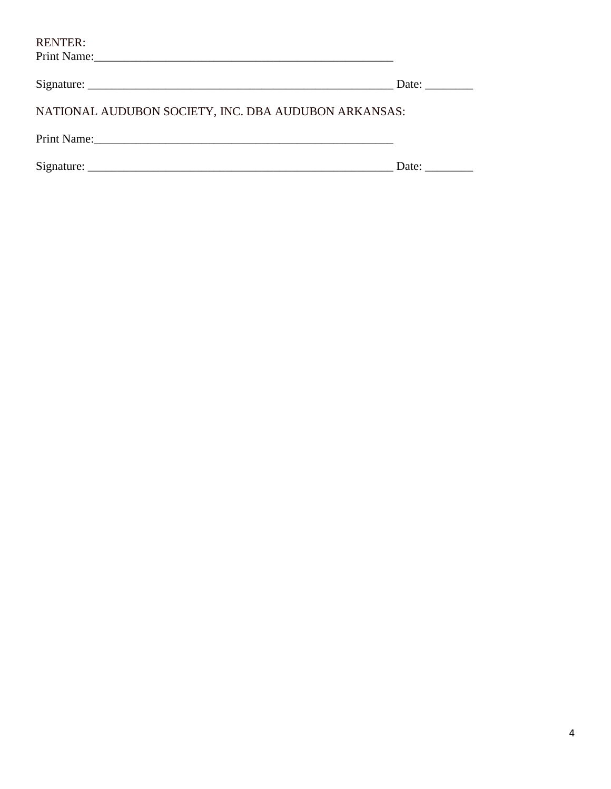| <b>RENTER:</b>                                                                  |                       |
|---------------------------------------------------------------------------------|-----------------------|
| Signature: $\frac{1}{\sqrt{1-\frac{1}{2}}\left(\frac{1}{2}-\frac{1}{2}\right)}$ | Date: $\qquad \qquad$ |
| NATIONAL AUDUBON SOCIETY, INC. DBA AUDUBON ARKANSAS:                            |                       |
|                                                                                 |                       |
|                                                                                 | Date:                 |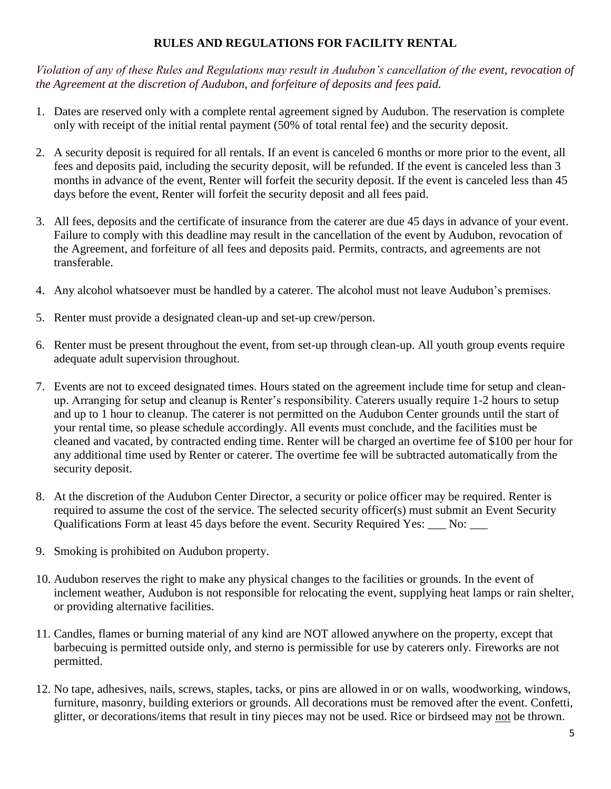# **RULES AND REGULATIONS FOR FACILITY RENTAL**

*Violation of any of these Rules and Regulations may result in Audubon's cancellation of the event, revocation of the Agreement at the discretion of Audubon, and forfeiture of deposits and fees paid.*

- 1. Dates are reserved only with a complete rental agreement signed by Audubon. The reservation is complete only with receipt of the initial rental payment (50% of total rental fee) and the security deposit.
- 2. A security deposit is required for all rentals. If an event is canceled 6 months or more prior to the event, all fees and deposits paid, including the security deposit, will be refunded. If the event is canceled less than 3 months in advance of the event, Renter will forfeit the security deposit. If the event is canceled less than 45 days before the event, Renter will forfeit the security deposit and all fees paid.
- 3. All fees, deposits and the certificate of insurance from the caterer are due 45 days in advance of your event. Failure to comply with this deadline may result in the cancellation of the event by Audubon, revocation of the Agreement, and forfeiture of all fees and deposits paid. Permits, contracts, and agreements are not transferable.
- 4. Any alcohol whatsoever must be handled by a caterer. The alcohol must not leave Audubon's premises.
- 5. Renter must provide a designated clean-up and set-up crew/person.
- 6. Renter must be present throughout the event, from set-up through clean-up. All youth group events require adequate adult supervision throughout.
- 7. Events are not to exceed designated times. Hours stated on the agreement include time for setup and cleanup. Arranging for setup and cleanup is Renter's responsibility. Caterers usually require 1-2 hours to setup and up to 1 hour to cleanup. The caterer is not permitted on the Audubon Center grounds until the start of your rental time, so please schedule accordingly. All events must conclude, and the facilities must be cleaned and vacated, by contracted ending time. Renter will be charged an overtime fee of \$100 per hour for any additional time used by Renter or caterer. The overtime fee will be subtracted automatically from the security deposit.
- 8. At the discretion of the Audubon Center Director, a security or police officer may be required. Renter is required to assume the cost of the service. The selected security officer(s) must submit an Event Security Qualifications Form at least 45 days before the event. Security Required Yes: \_\_\_ No: \_\_\_
- 9. Smoking is prohibited on Audubon property.
- 10. Audubon reserves the right to make any physical changes to the facilities or grounds. In the event of inclement weather, Audubon is not responsible for relocating the event, supplying heat lamps or rain shelter, or providing alternative facilities.
- 11. Candles, flames or burning material of any kind are NOT allowed anywhere on the property, except that barbecuing is permitted outside only, and sterno is permissible for use by caterers only. Fireworks are not permitted.
- 12. No tape, adhesives, nails, screws, staples, tacks, or pins are allowed in or on walls, woodworking, windows, furniture, masonry, building exteriors or grounds. All decorations must be removed after the event. Confetti, glitter, or decorations/items that result in tiny pieces may not be used. Rice or birdseed may not be thrown.